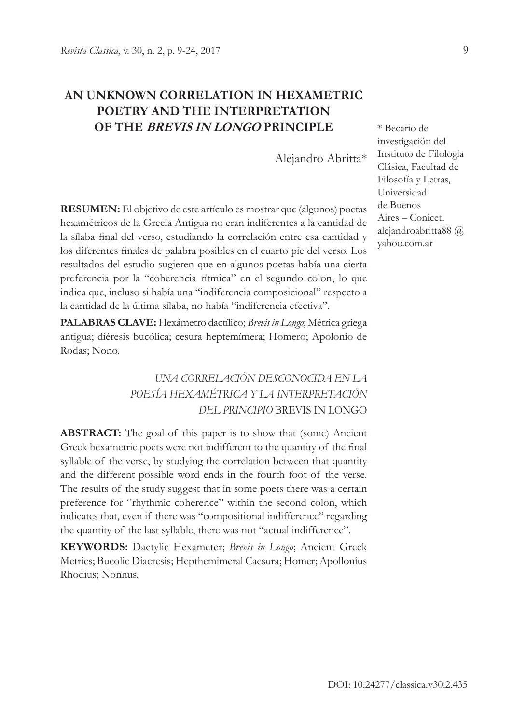# **AN UNKNOWN CORRELATION IN HEXAMETRIC POETRY AND THE INTERPRETATION OF THE BREVIS IN LONGO PRINCIPLE**

Alejandro Abritta\*

**RESUMEN:** El objetivo de este artículo es mostrar que (algunos) poetas hexamétricos de la Grecia Antigua no eran indiferentes a la cantidad de la sílaba final del verso, estudiando la correlación entre esa cantidad y los diferentes finales de palabra posibles en el cuarto pie del verso. Los resultados del estudio sugieren que en algunos poetas había una cierta preferencia por la "coherencia rítmica" en el segundo colon, lo que indica que, incluso si había una "indiferencia composicional" respecto a la cantidad de la última sílaba, no había "indiferencia efectiva".

**PALABRAS CLAVE:** Hexámetro dactílico; *Brevis in Longo*; Métrica griega antigua; diéresis bucólica; cesura heptemímera; Homero; Apolonio de Rodas; Nono.

# *UNA CORRELACIÓN DESCONOCIDA EN LA POESÍA HEXAMÉTRICA Y LA INTERPRETACIÓN DEL PRINCIPIO* BREVIS IN LONGO

**ABSTRACT:** The goal of this paper is to show that (some) Ancient Greek hexametric poets were not indifferent to the quantity of the final syllable of the verse, by studying the correlation between that quantity and the different possible word ends in the fourth foot of the verse. The results of the study suggest that in some poets there was a certain preference for "rhythmic coherence" within the second colon, which indicates that, even if there was "compositional indifference" regarding the quantity of the last syllable, there was not "actual indifference".

**KEYWORDS:** Dactylic Hexameter; *Brevis in Longo*; Ancient Greek Metrics; Bucolic Diaeresis; Hepthemimeral Caesura; Homer; Apollonius Rhodius; Nonnus.

\* Becario de investigación del Instituto de Filología Clásica, Facultad de Filosofía y Letras, Universidad de Buenos Aires – Conicet. alejandroabritta88 @ yahoo.com.ar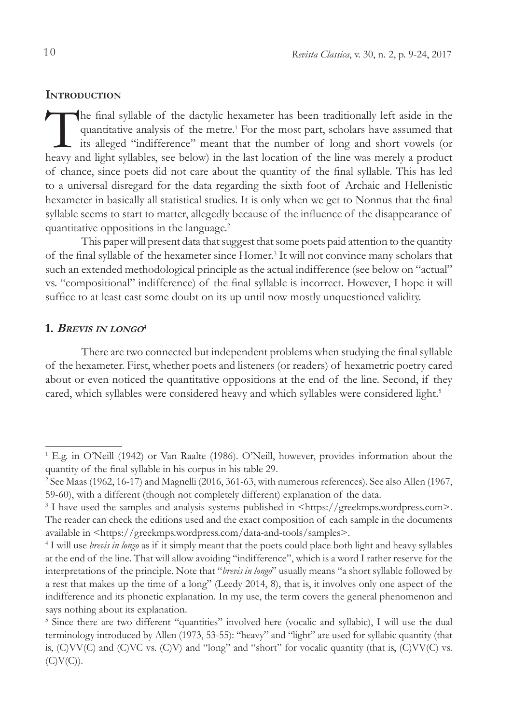#### **INTRODUCTION**

The final syllable of the dactylic hexameter has been traditionally left aside in the quantitative analysis of the metre.<sup>1</sup> For the most part, scholars have assumed that its alleged "indifference" meant that the number of long and short vowels (or heavy and light syllables, see below) in the last location of the line was merely a product of chance, since poets did not care about the quantity of the final syllable. This has led to a universal disregard for the data regarding the sixth foot of Archaic and Hellenistic hexameter in basically all statistical studies. It is only when we get to Nonnus that the final syllable seems to start to matter, allegedly because of the influence of the disappearance of quantitative oppositions in the language.2

This paper will present data that suggest that some poets paid attention to the quantity of the final syllable of the hexameter since Homer.<sup>3</sup> It will not convince many scholars that such an extended methodological principle as the actual indifference (see below on "actual" vs. "compositional" indifference) of the final syllable is incorrect. However, I hope it will suffice to at least cast some doubt on its up until now mostly unquestioned validity.

# **1. <sup>B</sup>revis in longo<sup>4</sup>**

There are two connected but independent problems when studying the final syllable of the hexameter. First, whether poets and listeners (or readers) of hexametric poetry cared about or even noticed the quantitative oppositions at the end of the line. Second, if they cared, which syllables were considered heavy and which syllables were considered light.<sup>5</sup>

<sup>1</sup> E.g. in O'Neill (1942) or Van Raalte (1986). O'Neill, however, provides information about the quantity of the final syllable in his corpus in his table 29.

<sup>2</sup> See Maas (1962, 16-17) and Magnelli (2016, 361-63, with numerous references). See also Allen (1967, 59-60), with a different (though not completely different) explanation of the data.

<sup>&</sup>lt;sup>3</sup> I have used the samples and analysis systems published in <https://greekmps.wordpress.com>. The reader can check the editions used and the exact composition of each sample in the documents available in <https://greekmps.wordpress.com/data-and-tools/samples>.

<sup>4</sup> I will use *brevis in longo* as if it simply meant that the poets could place both light and heavy syllables at the end of the line. That will allow avoiding "indifference", which is a word I rather reserve for the interpretations of the principle. Note that "*brevis in longo*" usually means "a short syllable followed by a rest that makes up the time of a long" (Leedy 2014, 8), that is, it involves only one aspect of the indifference and its phonetic explanation. In my use, the term covers the general phenomenon and says nothing about its explanation.

<sup>&</sup>lt;sup>5</sup> Since there are two different "quantities" involved here (vocalic and syllabic), I will use the dual terminology introduced by Allen (1973, 53-55): "heavy" and "light" are used for syllabic quantity (that is, (C)VV(C) and (C)VC vs. (C)V) and "long" and "short" for vocalic quantity (that is, (C)VV(C) vs.  $(C)V(C)$ ).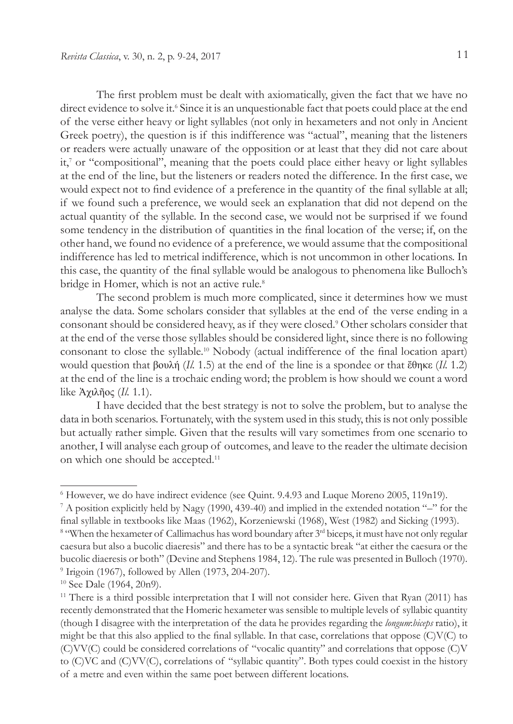The first problem must be dealt with axiomatically, given the fact that we have no direct evidence to solve it.<sup>6</sup> Since it is an unquestionable fact that poets could place at the end of the verse either heavy or light syllables (not only in hexameters and not only in Ancient Greek poetry), the question is if this indifference was "actual", meaning that the listeners or readers were actually unaware of the opposition or at least that they did not care about it,7 or "compositional", meaning that the poets could place either heavy or light syllables at the end of the line, but the listeners or readers noted the difference. In the first case, we would expect not to find evidence of a preference in the quantity of the final syllable at all; if we found such a preference, we would seek an explanation that did not depend on the actual quantity of the syllable. In the second case, we would not be surprised if we found some tendency in the distribution of quantities in the final location of the verse; if, on the other hand, we found no evidence of a preference, we would assume that the compositional indifference has led to metrical indifference, which is not uncommon in other locations. In this case, the quantity of the final syllable would be analogous to phenomena like Bulloch's bridge in Homer, which is not an active rule.<sup>8</sup>

The second problem is much more complicated, since it determines how we must analyse the data. Some scholars consider that syllables at the end of the verse ending in a consonant should be considered heavy, as if they were closed.9 Other scholars consider that at the end of the verse those syllables should be considered light, since there is no following consonant to close the syllable.10 Nobody (actual indifference of the final location apart) would question that βουλή (*Il.* 1.5) at the end of the line is a spondee or that ἔθηκε (*Il.* 1.2) at the end of the line is a trochaic ending word; the problem is how should we count a word like Ἀχιλῆος (*Il.* 1.1).

I have decided that the best strategy is not to solve the problem, but to analyse the data in both scenarios. Fortunately, with the system used in this study, this is not only possible but actually rather simple. Given that the results will vary sometimes from one scenario to another, I will analyse each group of outcomes, and leave to the reader the ultimate decision on which one should be accepted.<sup>11</sup>

<sup>&</sup>lt;sup>6</sup> However, we do have indirect evidence (see Quint. 9.4.93 and Luque Moreno 2005, 119n19).

<sup>7</sup> A position explicitly held by Nagy (1990, 439-40) and implied in the extended notation "–" for the final syllable in textbooks like Maas (1962), Korzeniewski (1968), West (1982) and Sicking (1993).

<sup>&</sup>lt;sup>8</sup> "When the hexameter of Callimachus has word boundary after 3<sup>rd</sup> biceps, it must have not only regular caesura but also a bucolic diaeresis" and there has to be a syntactic break "at either the caesura or the bucolic diaeresis or both" (Devine and Stephens 1984, 12). The rule was presented in Bulloch (1970). 9 Irigoin (1967), followed by Allen (1973, 204-207).

<sup>10</sup> See Dale (1964, 20n9).

<sup>&</sup>lt;sup>11</sup> There is a third possible interpretation that I will not consider here. Given that Ryan (2011) has recently demonstrated that the Homeric hexameter was sensible to multiple levels of syllabic quantity (though I disagree with the interpretation of the data he provides regarding the *longum*:*biceps* ratio), it might be that this also applied to the final syllable. In that case, correlations that oppose  $(C)V(C)$  to (C)VV(C) could be considered correlations of "vocalic quantity" and correlations that oppose (C)V to (C)VC and (C)VV(C), correlations of "syllabic quantity". Both types could coexist in the history of a metre and even within the same poet between different locations.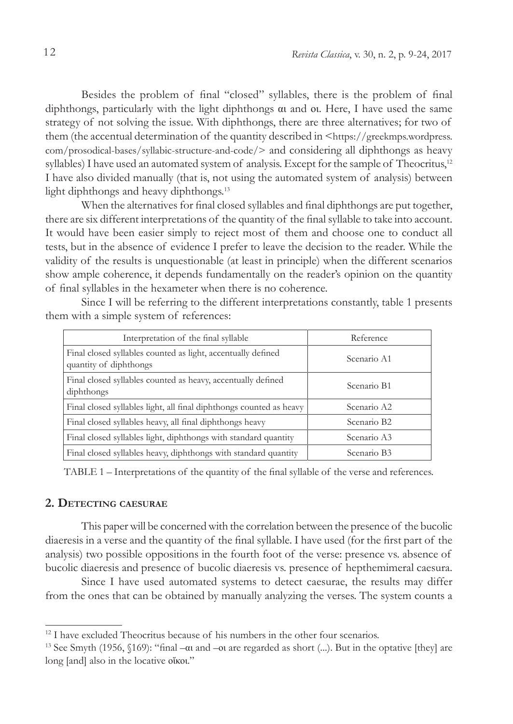Besides the problem of final "closed" syllables, there is the problem of final diphthongs, particularly with the light diphthongs αι and οι. Here, I have used the same strategy of not solving the issue. With diphthongs, there are three alternatives; for two of them (the accentual determination of the quantity described in <https://greekmps.wordpress. com/prosodical-bases/syllabic-structure-and-code/> and considering all diphthongs as heavy syllables) I have used an automated system of analysis. Except for the sample of Theocritus,<sup>12</sup> I have also divided manually (that is, not using the automated system of analysis) between light diphthongs and heavy diphthongs.13

When the alternatives for final closed syllables and final diphthongs are put together, there are six different interpretations of the quantity of the final syllable to take into account. It would have been easier simply to reject most of them and choose one to conduct all tests, but in the absence of evidence I prefer to leave the decision to the reader. While the validity of the results is unquestionable (at least in principle) when the different scenarios show ample coherence, it depends fundamentally on the reader's opinion on the quantity of final syllables in the hexameter when there is no coherence.

Since I will be referring to the different interpretations constantly, table 1 presents them with a simple system of references:

| Interpretation of the final syllable                                                   | Reference               |
|----------------------------------------------------------------------------------------|-------------------------|
| Final closed syllables counted as light, accentually defined<br>quantity of diphthongs | Scenario A1             |
| Final closed syllables counted as heavy, accentually defined<br>diphthongs             | Scenario B1             |
| Final closed syllables light, all final diphthongs counted as heavy                    | Scenario A2             |
| Final closed syllables heavy, all final diphthongs heavy                               | Scenario B2             |
| Final closed syllables light, diphthongs with standard quantity                        | Scenario A3             |
| Final closed syllables heavy, diphthongs with standard quantity                        | Scenario B <sub>3</sub> |
|                                                                                        |                         |

TABLE 1 – Interpretations of the quantity of the final syllable of the verse and references.

# **2. Detecting caesurae**

This paper will be concerned with the correlation between the presence of the bucolic diaeresis in a verse and the quantity of the final syllable. I have used (for the first part of the analysis) two possible oppositions in the fourth foot of the verse: presence vs. absence of bucolic diaeresis and presence of bucolic diaeresis vs. presence of hepthemimeral caesura.

Since I have used automated systems to detect caesurae, the results may differ from the ones that can be obtained by manually analyzing the verses. The system counts a

<sup>&</sup>lt;sup>12</sup> I have excluded Theocritus because of his numbers in the other four scenarios.

<sup>&</sup>lt;sup>13</sup> See Smyth (1956, §169): "final – $\alpha$  and – $\alpha$  are regarded as short (...). But in the optative [they] are long [and] also in the locative οἴκοι."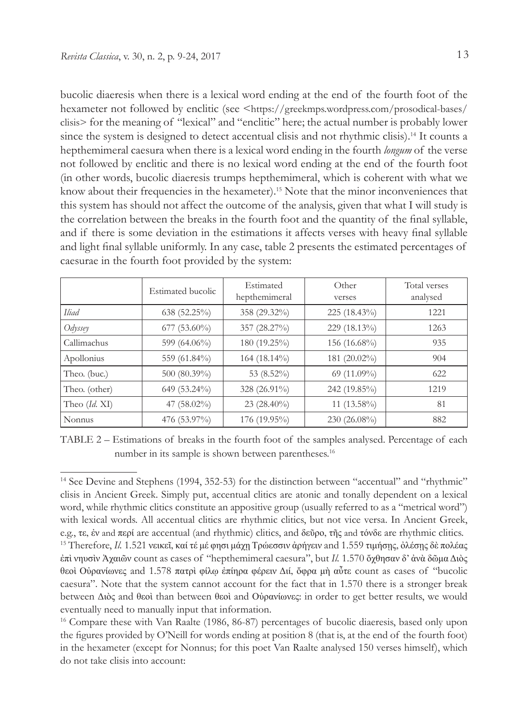bucolic diaeresis when there is a lexical word ending at the end of the fourth foot of the hexameter not followed by enclitic (see <https://greekmps.wordpress.com/prosodical-bases/ clisis> for the meaning of "lexical" and "enclitic" here; the actual number is probably lower since the system is designed to detect accentual clisis and not rhythmic clisis).14 It counts a hepthemimeral caesura when there is a lexical word ending in the fourth *longum* of the verse not followed by enclitic and there is no lexical word ending at the end of the fourth foot (in other words, bucolic diaeresis trumps hepthemimeral, which is coherent with what we know about their frequencies in the hexameter).15 Note that the minor inconveniences that this system has should not affect the outcome of the analysis, given that what I will study is the correlation between the breaks in the fourth foot and the quantity of the final syllable, and if there is some deviation in the estimations it affects verses with heavy final syllable and light final syllable uniformly. In any case, table 2 presents the estimated percentages of caesurae in the fourth foot provided by the system:

|                   | Estimated bucolic | Estimated<br>hepthemimeral | Other<br>verses | Total verses<br>analysed |
|-------------------|-------------------|----------------------------|-----------------|--------------------------|
| Iliad             | 638(52.25%)       | 358 (29.32%)               | $225(18.43\%)$  | 1221                     |
| $Ody$ <i>ssey</i> | $677(53.60\%)$    | 357 (28.27%)               | $229(18.13\%)$  | 1263                     |
| Callimachus       | 599 $(64.06\%)$   | $180(19.25\%)$             | 156 $(16.68\%)$ | 935                      |
| Apollonius        | 559 (61.84%)      | $164(18.14\%)$             | 181 $(20.02\%)$ | 904                      |
| Theo. (buc.)      | $500 (80.39\%)$   | 53 $(8.52\%)$              | 69 $(11.09\%)$  | 622                      |
| Theo. (other)     | $649(53.24\%)$    | 328 (26.91%)               | $242(19.85\%)$  | 1219                     |
| Theo $(Id, XI)$   | 47 $(58.02\%)$    | $23(28.40\%)$              | 11 $(13.58\%)$  | 81                       |
| <b>Nonnus</b>     | 476 (53.97%)      | 176 (19.95%)               | $230(26.08\%)$  | 882                      |

TABLE 2 – Estimations of breaks in the fourth foot of the samples analysed. Percentage of each number in its sample is shown between parentheses.<sup>16</sup>

<sup>&</sup>lt;sup>14</sup> See Devine and Stephens (1994, 352-53) for the distinction between "accentual" and "rhythmic" clisis in Ancient Greek. Simply put, accentual clitics are atonic and tonally dependent on a lexical word, while rhythmic clitics constitute an appositive group (usually referred to as a "metrical word") with lexical words. All accentual clitics are rhythmic clitics, but not vice versa. In Ancient Greek, e.g., τε, ἐν and περί are accentual (and rhythmic) clitics, and δεῦρο, τῆς and τόνδε are rhythmic clitics. 15 Therefore, *Il.* 1.521 νεικεῖ, καί τέ μέ φησι μάχῃ Τρώεσσιν ἀρήγειν and 1.559 τιμήσῃς, ὀλέσῃς δὲ πολέας ἐπὶ νηυσὶν Ἀχαιῶν count as cases of "hepthemimeral caesura", but *Il.* 1.570 ὄχθησαν δ' ἀνὰ δῶμα Διὸς θεοὶ Οὐρανίωνες and 1.578 πατρὶ φίλῳ ἐπίηρα φέρειν Διί, ὄφρα μὴ αὖτε count as cases of "bucolic caesura". Note that the system cannot account for the fact that in 1.570 there is a stronger break between Διὸς and θεοὶ than between θεοὶ and Οὐρανίωνες: in order to get better results, we would eventually need to manually input that information.

<sup>16</sup> Compare these with Van Raalte (1986, 86-87) percentages of bucolic diaeresis, based only upon the figures provided by O'Neill for words ending at position 8 (that is, at the end of the fourth foot) in the hexameter (except for Nonnus; for this poet Van Raalte analysed 150 verses himself), which do not take clisis into account: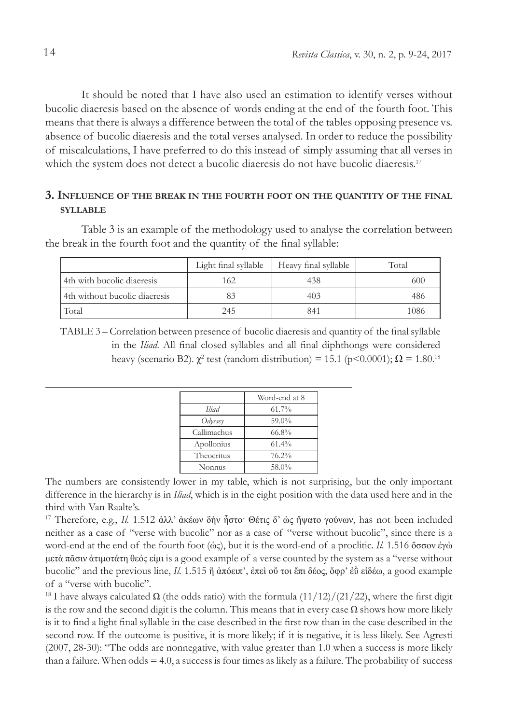It should be noted that I have also used an estimation to identify verses without bucolic diaeresis based on the absence of words ending at the end of the fourth foot. This means that there is always a difference between the total of the tables opposing presence vs. absence of bucolic diaeresis and the total verses analysed. In order to reduce the possibility of miscalculations, I have preferred to do this instead of simply assuming that all verses in which the system does not detect a bucolic diaeresis do not have bucolic diaeresis.<sup>17</sup>

# **3. Influence of the break in the fourth foot on the quantity of the final syllable**

Table 3 is an example of the methodology used to analyse the correlation between the break in the fourth foot and the quantity of the final syllable:

|                               | Light final syllable | Heavy final syllable | Total |
|-------------------------------|----------------------|----------------------|-------|
| 4th with bucolic diaeresis    | 162                  | 438                  | 600   |
| 4th without bucolic diaeresis |                      | 403                  | 486   |
| Total                         | 245                  | 841                  | 1086  |

ΤABLE 3 – Correlation between presence of bucolic diaeresis and quantity of the final syllable in the *Iliad*. All final closed syllables and all final diphthongs were considered heavy (scenario B2).  $\chi^2$  test (random distribution) = 15.1 (p<0.0001);  $\Omega$  = 1.80.<sup>18</sup>

|             | Word-end at 8 |
|-------------|---------------|
| Hiad        | 61.7%         |
| Odyssey     | 59.0%         |
| Callimachus | 66.8%         |
| Apollonius  | 61.4%         |
| Theocritus  | 76.2%         |
| Nonnus      | 58.0%         |

The numbers are consistently lower in my table, which is not surprising, but the only important difference in the hierarchy is in *Iliad*, which is in the eight position with the data used here and in the third with Van Raalte's.

17 Therefore, e.g., *Il.* 1.512 ἀλλ' ἀκέων δὴν ἧστο· Θέτις δ' ὡς ἥψατο γούνων, has not been included neither as a case of "verse with bucolic" nor as a case of "verse without bucolic", since there is a word-end at the end of the fourth foot (ὡς), but it is the word-end of a proclitic. *Il.* 1.516 ὅσσον ἐγὼ μετὰ πᾶσιν ἀτιμοτάτη θεός εἰμι is a good example of a verse counted by the system as a "verse without bucolic" and the previous line, *Il.* 1.515 ἢ ἀπόειπ', ἐπεὶ οὔ τοι ἔπι δέος, ὄφρ' ἐῢ εἰδέω, a good example of a "verse with bucolic".

<sup>18</sup> I have always calculated  $\Omega$  (the odds ratio) with the formula (11/12)/(21/22), where the first digit is the row and the second digit is the column. This means that in every case  $\Omega$  shows how more likely is it to find a light final syllable in the case described in the first row than in the case described in the second row. If the outcome is positive, it is more likely; if it is negative, it is less likely. See Agresti (2007, 28-30): "The odds are nonnegative, with value greater than 1.0 when a success is more likely than a failure. When  $odds = 4.0$ , a success is four times as likely as a failure. The probability of success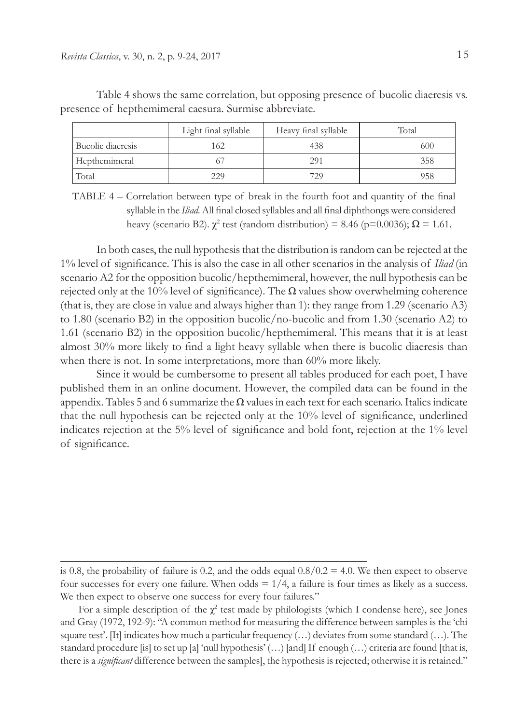|                   | Light final syllable | Heavy final syllable | Total |
|-------------------|----------------------|----------------------|-------|
| Bucolic diaeresis | 162                  | 438                  | 600   |
| Hepthemimeral     |                      | 291                  | 358   |
| Total             | 229                  | 729                  | 958   |

Table 4 shows the same correlation, but opposing presence of bucolic diaeresis vs. presence of hepthemimeral caesura. Surmise abbreviate.

In both cases, the null hypothesis that the distribution is random can be rejected at the 1% level of significance. This is also the case in all other scenarios in the analysis of *Iliad* (in scenario A2 for the opposition bucolic/hepthemimeral, however, the null hypothesis can be rejected only at the 10% level of significance). The  $\Omega$  values show overwhelming coherence (that is, they are close in value and always higher than 1): they range from 1.29 (scenario A3) to 1.80 (scenario B2) in the opposition bucolic/no-bucolic and from 1.30 (scenario A2) to 1.61 (scenario B2) in the opposition bucolic/hepthemimeral. This means that it is at least almost 30% more likely to find a light heavy syllable when there is bucolic diaeresis than when there is not. In some interpretations, more than 60% more likely.

Since it would be cumbersome to present all tables produced for each poet, I have published them in an online document. However, the compiled data can be found in the appendix. Tables 5 and 6 summarize the  $\Omega$  values in each text for each scenario. Italics indicate that the null hypothesis can be rejected only at the 10% level of significance, underlined indicates rejection at the 5% level of significance and bold font, rejection at the 1% level of significance.

ΤABLE 4 – Correlation between type of break in the fourth foot and quantity of the final syllable in the *Iliad*. All final closed syllables and all final diphthongs were considered heavy (scenario B2).  $\chi^2$  test (random distribution) = 8.46 (p=0.0036);  $\Omega$  = 1.61.

is 0.8, the probability of failure is 0.2, and the odds equal  $0.8/0.2 = 4.0$ . We then expect to observe four successes for every one failure. When odds  $= 1/4$ , a failure is four times as likely as a success. We then expect to observe one success for every four failures."

For a simple description of the  $\chi^2$  test made by philologists (which I condense here), see Jones and Gray (1972, 192-9): "A common method for measuring the difference between samples is the 'chi square test'. [It] indicates how much a particular frequency  $(...)$  deviates from some standard  $(...)$ . The standard procedure [is] to set up [a] 'null hypothesis' (…) [and] If enough (…) criteria are found [that is, there is a *significant* difference between the samples], the hypothesis is rejected; otherwise it is retained."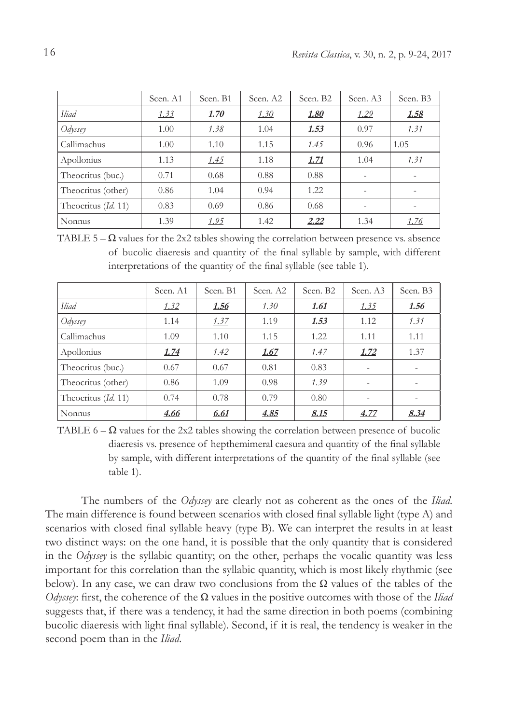|                     | Scen. A1 | Scen. B1 | Scen. A2 | Scen. B <sub>2</sub> | Scen. A3                 | Scen. B3    |
|---------------------|----------|----------|----------|----------------------|--------------------------|-------------|
| <b>Iliad</b>        | 1.33     | 1.70     | 1.30     | <u>1.80</u>          | 1.29                     | <u>1.58</u> |
| $Ody$ ssey          | 1.00     | 1.38     | 1.04     | <u>1.53</u>          | 0.97                     | 1.31        |
| Callimachus         | 1.00     | 1.10     | 1.15     | 1.45                 | 0.96                     | 1.05        |
| Apollonius          | 1.13     | 1.45     | 1.18     | 1.71                 | 1.04                     | 1.31        |
| Theocritus (buc.)   | 0.71     | 0.68     | 0.88     | 0.88                 |                          |             |
| Theocritus (other)  | 0.86     | 1.04     | 0.94     | 1.22                 |                          |             |
| Theocritus (Id. 11) | 0.83     | 0.69     | 0.86     | 0.68                 | $\overline{\phantom{0}}$ |             |
| Nonnus              | 1.39     | 1.95     | 1.42     | 2.22                 | 1.34                     | 1.76        |

TABLE  $5 - \Omega$  values for the 2x2 tables showing the correlation between presence vs. absence of bucolic diaeresis and quantity of the final syllable by sample, with different interpretations of the quantity of the final syllable (see table 1).

|                     | Scen. A1    | Scen. B1    | Scen. A2    | Scen. B <sub>2</sub> | Scen. A3                 | Scen. B3 |
|---------------------|-------------|-------------|-------------|----------------------|--------------------------|----------|
| <b>Iliad</b>        | 1.32        | <u>1.56</u> | 1.30        | 1.61                 | 1.35                     | 1.56     |
| $Ody$ <i>ssey</i>   | 1.14        | 1.37        | 1.19        | 1.53                 | 1.12                     | 1.31     |
| Callimachus         | 1.09        | 1.10        | 1.15        | 1.22                 | 1.11                     | 1.11     |
| Apollonius          | <u>1.74</u> | 1.42        | <u>1.67</u> | 1.47                 | 1.72                     | 1.37     |
| Theocritus (buc.)   | 0.67        | 0.67        | 0.81        | 0.83                 |                          |          |
| Theocritus (other)  | 0.86        | 1.09        | 0.98        | 1.39                 |                          |          |
| Theocritus (Id. 11) | 0.74        | 0.78        | 0.79        | 0.80                 | $\overline{\phantom{a}}$ |          |
| Nonnus              | 4.66        | 6.61        | 4.85        | 8.15                 | 4.77                     | 8.34     |

TABLE  $6 - \Omega$  values for the 2x2 tables showing the correlation between presence of bucolic diaeresis vs. presence of hepthemimeral caesura and quantity of the final syllable by sample, with different interpretations of the quantity of the final syllable (see table 1).

The numbers of the *Odyssey* are clearly not as coherent as the ones of the *Iliad*. The main difference is found between scenarios with closed final syllable light (type A) and scenarios with closed final syllable heavy (type B). We can interpret the results in at least two distinct ways: on the one hand, it is possible that the only quantity that is considered in the *Odyssey* is the syllabic quantity; on the other, perhaps the vocalic quantity was less important for this correlation than the syllabic quantity, which is most likely rhythmic (see below). In any case, we can draw two conclusions from the  $\Omega$  values of the tables of the *Odyssey*: first, the coherence of the Ω values in the positive outcomes with those of the *Iliad*  suggests that, if there was a tendency, it had the same direction in both poems (combining bucolic diaeresis with light final syllable). Second, if it is real, the tendency is weaker in the second poem than in the *Iliad*.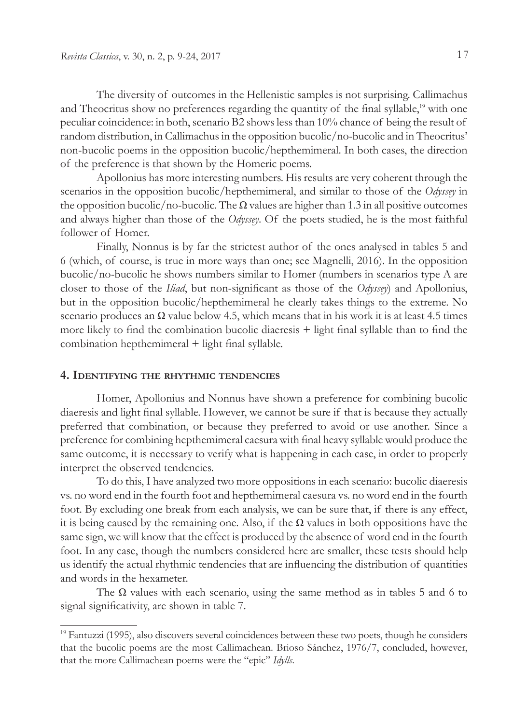The diversity of outcomes in the Hellenistic samples is not surprising. Callimachus and Theocritus show no preferences regarding the quantity of the final syllable,<sup>19</sup> with one peculiar coincidence: in both, scenario B2 shows less than 10% chance of being the result of random distribution, in Callimachus in the opposition bucolic/no-bucolic and in Theocritus' non-bucolic poems in the opposition bucolic/hepthemimeral. In both cases, the direction of the preference is that shown by the Homeric poems.

Apollonius has more interesting numbers. His results are very coherent through the scenarios in the opposition bucolic/hepthemimeral, and similar to those of the *Odyssey* in the opposition bucolic/no-bucolic. The  $\Omega$  values are higher than 1.3 in all positive outcomes and always higher than those of the *Odyssey*. Of the poets studied, he is the most faithful follower of Homer.

Finally, Nonnus is by far the strictest author of the ones analysed in tables 5 and 6 (which, of course, is true in more ways than one; see Magnelli, 2016). In the opposition bucolic/no-bucolic he shows numbers similar to Homer (numbers in scenarios type A are closer to those of the *Iliad*, but non-significant as those of the *Odyssey*) and Apollonius, but in the opposition bucolic/hepthemimeral he clearly takes things to the extreme. No scenario produces an  $\Omega$  value below 4.5, which means that in his work it is at least 4.5 times more likely to find the combination bucolic diaeresis + light final syllable than to find the combination hepthemimeral + light final syllable.

# **4. Identifying the rhythmic tendencies**

Homer, Apollonius and Nonnus have shown a preference for combining bucolic diaeresis and light final syllable. However, we cannot be sure if that is because they actually preferred that combination, or because they preferred to avoid or use another. Since a preference for combining hepthemimeral caesura with final heavy syllable would produce the same outcome, it is necessary to verify what is happening in each case, in order to properly interpret the observed tendencies.

To do this, I have analyzed two more oppositions in each scenario: bucolic diaeresis vs. no word end in the fourth foot and hepthemimeral caesura vs. no word end in the fourth foot. By excluding one break from each analysis, we can be sure that, if there is any effect, it is being caused by the remaining one. Also, if the  $\Omega$  values in both oppositions have the same sign, we will know that the effect is produced by the absence of word end in the fourth foot. In any case, though the numbers considered here are smaller, these tests should help us identify the actual rhythmic tendencies that are influencing the distribution of quantities and words in the hexameter.

The  $\Omega$  values with each scenario, using the same method as in tables 5 and 6 to signal significativity, are shown in table 7.

<sup>&</sup>lt;sup>19</sup> Fantuzzi (1995), also discovers several coincidences between these two poets, though he considers that the bucolic poems are the most Callimachean. Brioso Sánchez, 1976/7, concluded, however, that the more Callimachean poems were the "epic" *Idylls*.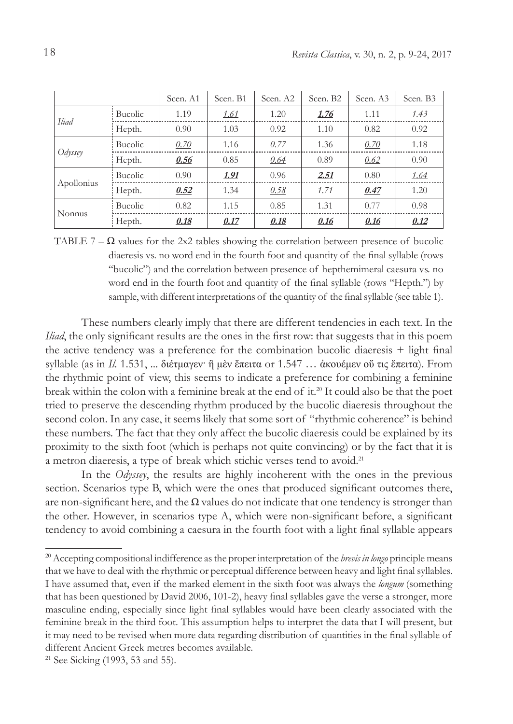|               |         | Scen. A1 | Scen. B1     | Scen. A2 | Scen. B <sub>2</sub> | Scen. A3 | Scen. B3 |
|---------------|---------|----------|--------------|----------|----------------------|----------|----------|
|               | Bucolic | 1.19     | <u> 1.61</u> | 1.20     | 1.76                 | 1.11     | 1.43     |
| <b>Iliad</b>  | Hepth.  | 0.90     | 1.03         | 0.92     | 1.10                 | 0.82     | 0.92     |
| Odyssey       | Bucolic | 0.70     | 1.16         | 0.77     | 1.36                 | 0.70     | 1.18     |
|               | Hepth.  | 0.56     | 0.85         | 0.64     | 0.89                 | 0.62     | 0.90     |
|               | Bucolic | 0.90     | <u>1.91</u>  | 0.96     | 2.51                 | 0.80     | 1.64     |
| Apollonius    | Hepth.  | 0.52     | 1.34         | 0.58     | 1.71                 | 0.47     | 1.20     |
|               | Bucolic | 0.82     | 1.15         | 0.85     | 1.31                 | 0.77     | 0.98     |
| <b>Nonnus</b> | Hepth.  | 0.18     | 0.17         | 0.18     | 0.16                 | 0.16     | 0.12     |

TABLE 7 –  $\Omega$  values for the 2x2 tables showing the correlation between presence of bucolic diaeresis vs. no word end in the fourth foot and quantity of the final syllable (rows "bucolic") and the correlation between presence of hepthemimeral caesura vs. no word end in the fourth foot and quantity of the final syllable (rows "Hepth.") by sample, with different interpretations of the quantity of the final syllable (see table 1).

These numbers clearly imply that there are different tendencies in each text. In the *Iliad*, the only significant results are the ones in the first row: that suggests that in this poem the active tendency was a preference for the combination bucolic diaeresis + light final syllable (as in *Il.* 1.531, ... διέτμαγεν· ἣ μὲν ἔπειτα or 1.547 … ἀκουέμεν οὔ τις ἔπειτα). From the rhythmic point of view, this seems to indicate a preference for combining a feminine break within the colon with a feminine break at the end of it.20 It could also be that the poet tried to preserve the descending rhythm produced by the bucolic diaeresis throughout the second colon. In any case, it seems likely that some sort of "rhythmic coherence" is behind these numbers. The fact that they only affect the bucolic diaeresis could be explained by its proximity to the sixth foot (which is perhaps not quite convincing) or by the fact that it is a metron diaeresis, a type of break which stichic verses tend to avoid.21

In the *Odyssey*, the results are highly incoherent with the ones in the previous section. Scenarios type B, which were the ones that produced significant outcomes there, are non-significant here, and the  $\Omega$  values do not indicate that one tendency is stronger than the other. However, in scenarios type A, which were non-significant before, a significant tendency to avoid combining a caesura in the fourth foot with a light final syllable appears

<sup>20</sup> Accepting compositional indifference as the proper interpretation of the *brevis in longo* principle means that we have to deal with the rhythmic or perceptual difference between heavy and light final syllables. I have assumed that, even if the marked element in the sixth foot was always the *longum* (something that has been questioned by David 2006, 101-2), heavy final syllables gave the verse a stronger, more masculine ending, especially since light final syllables would have been clearly associated with the feminine break in the third foot. This assumption helps to interpret the data that I will present, but it may need to be revised when more data regarding distribution of quantities in the final syllable of different Ancient Greek metres becomes available.

<sup>21</sup> See Sicking (1993, 53 and 55).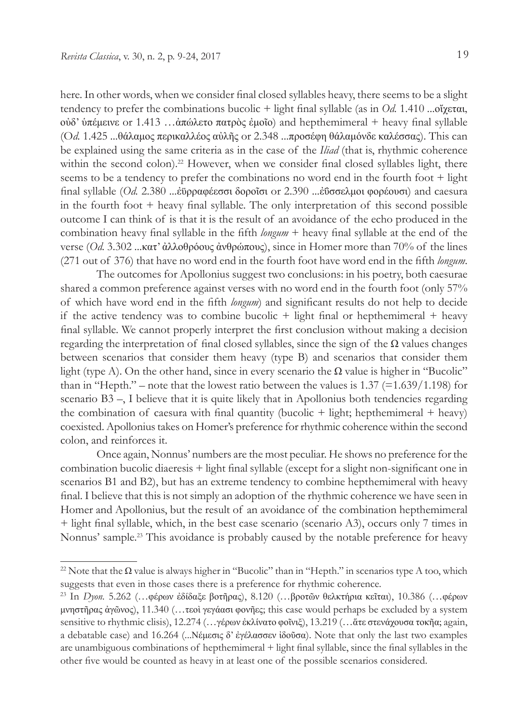here. In other words, when we consider final closed syllables heavy, there seems to be a slight tendency to prefer the combinations bucolic + light final syllable (as in *Od.* 1.410 ...οἴχεται, οὐδ' ὑπέμεινε or 1.413 …ἀπώλετο πατρὸς ἐμοῖο) and hepthemimeral + heavy final syllable (O*d.* 1.425 ...θάλαμος περικαλλέος αὐλῆς or 2.348 ...προσέφη θάλαμόνδε καλέσσας). This can be explained using the same criteria as in the case of the *Iliad* (that is, rhythmic coherence within the second colon).<sup>22</sup> However, when we consider final closed syllables light, there seems to be a tendency to prefer the combinations no word end in the fourth foot + light final syllable (*Od.* 2.380 ...ἐϋρραφέεσσι δοροῖσι or 2.390 ...ἐΰσσελμοι φορέουσι) and caesura in the fourth foot + heavy final syllable. The only interpretation of this second possible outcome I can think of is that it is the result of an avoidance of the echo produced in the combination heavy final syllable in the fifth *longum* + heavy final syllable at the end of the verse (*Od.* 3.302 ...κατ' ἀλλοθρόους ἀνθρώπους), since in Homer more than 70% of the lines (271 out of 376) that have no word end in the fourth foot have word end in the fifth *longum*.

The outcomes for Apollonius suggest two conclusions: in his poetry, both caesurae shared a common preference against verses with no word end in the fourth foot (only 57% of which have word end in the fifth *longum*) and significant results do not help to decide if the active tendency was to combine bucolic  $+$  light final or hepthemimeral  $+$  heavy final syllable. We cannot properly interpret the first conclusion without making a decision regarding the interpretation of final closed syllables, since the sign of the  $\Omega$  values changes between scenarios that consider them heavy (type B) and scenarios that consider them light (type A). On the other hand, since in every scenario the  $\Omega$  value is higher in "Bucolic" than in "Hepth." – note that the lowest ratio between the values is  $1.37$  (=1.639/1.198) for scenario B3 –, I believe that it is quite likely that in Apollonius both tendencies regarding the combination of caesura with final quantity (bucolic  $+$  light; hepthemimeral  $+$  heavy) coexisted. Apollonius takes on Homer's preference for rhythmic coherence within the second colon, and reinforces it.

Once again, Nonnus' numbers are the most peculiar. He shows no preference for the combination bucolic diaeresis + light final syllable (except for a slight non-significant one in scenarios B1 and B2), but has an extreme tendency to combine hepthemimeral with heavy final. I believe that this is not simply an adoption of the rhythmic coherence we have seen in Homer and Apollonius, but the result of an avoidance of the combination hepthemimeral + light final syllable, which, in the best case scenario (scenario A3), occurs only 7 times in Nonnus' sample.<sup>23</sup> This avoidance is probably caused by the notable preference for heavy

<sup>&</sup>lt;sup>22</sup> Note that the  $\Omega$  value is always higher in "Bucolic" than in "Hepth." in scenarios type A too, which suggests that even in those cases there is a preference for rhythmic coherence.

<sup>23</sup> In *Dyon.* 5.262 (…φέρων ἐδίδαξε βοτῆρας), 8.120 (…βροτῶν θελκτήρια κεῖται), 10.386 (…φέρων μνηστῆρας ἀγῶνος), 11.340 (…τεοὶ γεγάασι φονῆες; this case would perhaps be excluded by a system sensitive to rhythmic clisis), 12.274 (...γέρων ἐκλίνατο φοῖνιξ), 13.219 (...ἄτε στενάχουσα τοκῆα; again, a debatable case) and 16.264 (...Νέμεσις δ' ἐγέλασσεν ἰδοῦσα). Note that only the last two examples are unambiguous combinations of hepthemimeral + light final syllable, since the final syllables in the other five would be counted as heavy in at least one of the possible scenarios considered.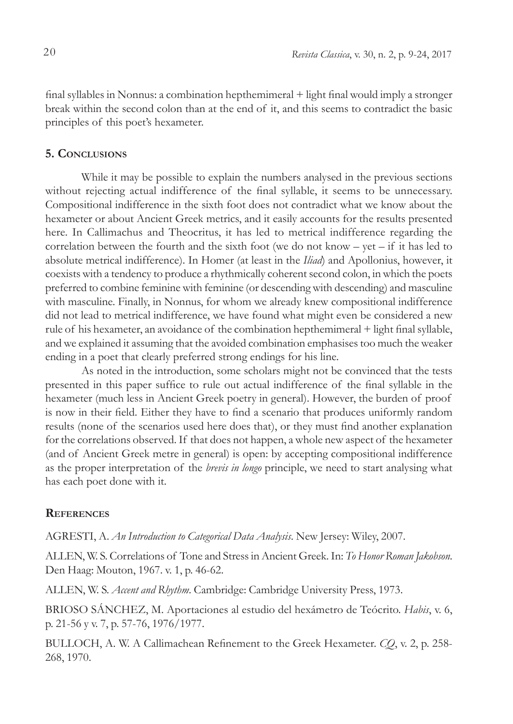final syllables in Nonnus: a combination hepthemimeral + light final would imply a stronger break within the second colon than at the end of it, and this seems to contradict the basic principles of this poet's hexameter.

### **5. Conclusions**

While it may be possible to explain the numbers analysed in the previous sections without rejecting actual indifference of the final syllable, it seems to be unnecessary. Compositional indifference in the sixth foot does not contradict what we know about the hexameter or about Ancient Greek metrics, and it easily accounts for the results presented here. In Callimachus and Theocritus, it has led to metrical indifference regarding the correlation between the fourth and the sixth foot (we do not know – yet – if it has led to absolute metrical indifference). In Homer (at least in the *Iliad*) and Apollonius, however, it coexists with a tendency to produce a rhythmically coherent second colon, in which the poets preferred to combine feminine with feminine (or descending with descending) and masculine with masculine. Finally, in Nonnus, for whom we already knew compositional indifference did not lead to metrical indifference, we have found what might even be considered a new rule of his hexameter, an avoidance of the combination hepthemimeral + light final syllable, and we explained it assuming that the avoided combination emphasises too much the weaker ending in a poet that clearly preferred strong endings for his line.

As noted in the introduction, some scholars might not be convinced that the tests presented in this paper suffice to rule out actual indifference of the final syllable in the hexameter (much less in Ancient Greek poetry in general). However, the burden of proof is now in their field. Either they have to find a scenario that produces uniformly random results (none of the scenarios used here does that), or they must find another explanation for the correlations observed. If that does not happen, a whole new aspect of the hexameter (and of Ancient Greek metre in general) is open: by accepting compositional indifference as the proper interpretation of the *brevis in longo* principle, we need to start analysing what has each poet done with it.

# **References**

AGRESTI, A. *An Introduction to Categorical Data Analysis*. New Jersey: Wiley, 2007.

ALLEN, W. S. Correlations of Tone and Stress in Ancient Greek. In: *To Honor Roman Jakobson*. Den Haag: Mouton, 1967. v. 1, p. 46-62.

ALLEN, W. S. *Accent and Rhythm*. Cambridge: Cambridge University Press, 1973.

BRIOSO SÁNCHEZ, M. Aportaciones al estudio del hexámetro de Teócrito. *Habis*, v. 6, p. 21-56 y v. 7, p. 57-76, 1976/1977.

BULLOCH, A. W. A Callimachean Refinement to the Greek Hexameter. *CQ*, v. 2, p. 258- 268, 1970.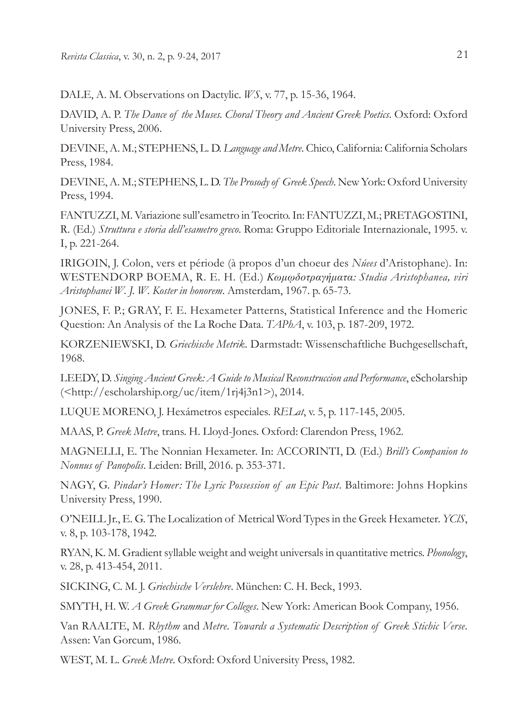DALE, A. M. Observations on Dactylic. *WS*, v. 77, p. 15-36, 1964.

DAVID, A. P. *The Dance of the Muses. Choral Theory and Ancient Greek Poetics*. Oxford: Oxford University Press, 2006.

DEVINE, A. M.; STEPHENS, L. D. *Language and Metre*. Chico, California: California Scholars Press, 1984.

DEVINE, A. M.; STEPHENS, L. D. *The Prosody of Greek Speech*. New York: Oxford University Press, 1994.

FANTUZZI, M. Variazione sull'esametro in Teocrito. In: FANTUZZI, M.; PRETAGOSTINI, R. (Ed.) *Struttura e storia dell'esametro greco*. Roma: Gruppo Editoriale Internazionale, 1995. v. I, p. 221-264.

IRIGOIN, J. Colon, vers et période (à propos d'un choeur des *Núees* d'Aristophane). In: WESTENDORP BOEMA, R. E. H. (Ed.) *Κωμῳδοτραγήματα: Studia Aristophanea, viri Aristophanei W. J. W. Koster in honorem*. Amsterdam, 1967. p. 65-73.

JONES, F. P.; GRAY, F. E. Hexameter Patterns, Statistical Inference and the Homeric Question: An Analysis of the La Roche Data. *TAPhA*, v. 103, p. 187-209, 1972.

KORZENIEWSKI, D. *Griechische Metrik*. Darmstadt: Wissenschaftliche Buchgesellschaft, 1968.

LEEDY, D. *Singing Ancient Greek: A Guide to Musical Reconstruccion and Performance*, eScholarship (<http://escholarship.org/uc/item/1rj4j3n1>), 2014.

LUQUE MORENO, J. Hexámetros especiales. *RELat*, v. 5, p. 117-145, 2005.

MAAS, P. *Greek Metre*, trans. H. Lloyd-Jones. Oxford: Clarendon Press, 1962.

MAGNELLI, E. The Nonnian Hexameter. In: ACCORINTI, D. (Ed.) *Brill's Companion to Nonnus of Panopolis*. Leiden: Brill, 2016. p. 353-371.

NAGY, G. *Pindar's Homer: The Lyric Possession of an Epic Past*. Baltimore: Johns Hopkins University Press, 1990.

O'NEILL Jr., E. G. The Localization of Metrical Word Types in the Greek Hexameter. *YClS*, v. 8, p. 103-178, 1942.

RYAN, K. M. Gradient syllable weight and weight universals in quantitative metrics. *Phonology*, v. 28, p. 413-454, 2011.

SICKING, C. M. J. *Griechische Verslehre*. München: C. H. Beck, 1993.

SMYTH, H. W. *A Greek Grammar for Colleges*. New York: American Book Company, 1956.

Van RAALTE, M. *Rhythm* and *Metre*. *Towards a Systematic Description of Greek Stichic Verse*. Assen: Van Gorcum, 1986.

WEST, M. L. *Greek Metre*. Oxford: Oxford University Press, 1982.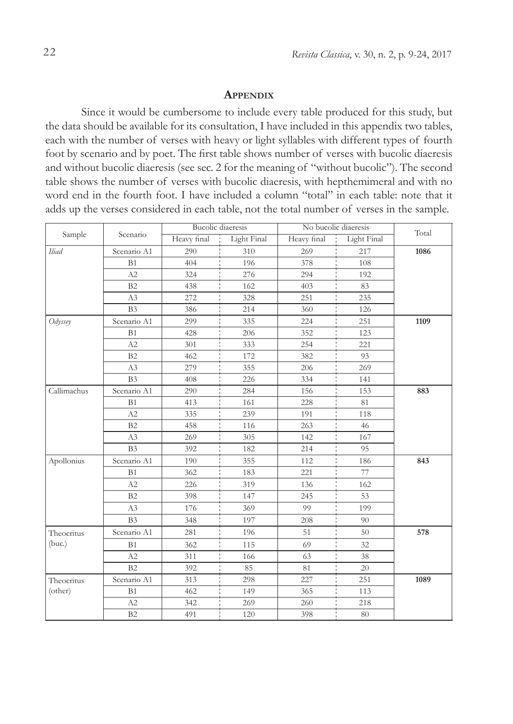### **Appendix**

Since it would be cumbersome to include every table produced for this study, but the data should be available for its consultation, I have included in this appendix two tables, each with the number of verses with heavy or light syllables with different types of fourth foot by scenario and by poet. The first table shows number of verses with bucolic diaeresis and without bucolic diaeresis (see sec. 2 for the meaning of "without bucolic"). The second table shows the number of verses with bucolic diaeresis, with hepthemimeral and with no word end in the fourth foot. I have included a column "total" in each table: note that it adds up the verses considered in each table, not the total number of verses in the sample.

|             | Scenario       | <b>Bucolic</b> diaeresis |             | No bucolic diaeresis | Total       |      |
|-------------|----------------|--------------------------|-------------|----------------------|-------------|------|
| Sample      |                | Heavy final              | Light Final | Heavy final          | Light Final |      |
| Iliad       | Scenario A1    | 290                      | 310         | 269                  | 217         | 1086 |
|             | B1             | 404                      | 196         | 378                  | 108         |      |
|             | A2             | 324                      | 276         | 294                  | 192         |      |
|             | B2             | 438                      | 162         | 403                  | 83          |      |
|             | A3             | 272                      | 328         | 251                  | 235         |      |
|             | B <sub>3</sub> | 386                      | 214         | 360                  | 126         |      |
| Odyssey     | Scenario A1    | 299                      | 335         | 224                  | 251         | 1109 |
|             | B1             | 428                      | 206         | 352                  | 123         |      |
|             | A2             | 301                      | 333         | 254                  | 221         |      |
|             | B2             | 462                      | 172         | 382                  | 93          |      |
|             | A3             | 279                      | 355         | 206                  | 269         |      |
|             | B <sub>3</sub> | 408                      | 226         | 334                  | 141         |      |
| Callimachus | Scenario A1    | 290                      | 284         | 156                  | 153         | 883  |
|             | B1             | 413                      | 161         | 228                  | 81          |      |
|             | A2             | 335                      | 239         | 191                  | 118         |      |
|             | B2             | 458                      | 116         | 263                  | 46          |      |
|             | A3             | 269                      | 305         | 142                  | 167         |      |
|             | B <sub>3</sub> | 392                      | 182         | 214                  | 95          |      |
| Apollonius  | Scenario A1    | 190                      | 355         | 112                  | 186         | 843  |
|             | B1             | 362                      | 183         | 221                  | 77          |      |
|             | A2             | 226                      | 319         | 136                  | 162         |      |
|             | B2             | 398                      | 147         | 245                  | 53          |      |
|             | A3             | 176                      | 369         | 99                   | 199         |      |
|             | B <sub>3</sub> | 348                      | 197         | 208                  | 90          |      |
| Theocritus  | Scenario A1    | 281                      | 196         | 51                   | 50          | 578  |
| (buc.)      | B1             | 362                      | 115         | 69                   | 32          |      |
|             | A2             | 311                      | 166         | 63                   | 38          |      |
|             | B2             | 392                      | 85          | 81                   | 20          |      |
| Theocritus  | Scenario A1    | 313                      | 298         | 227                  | 251         | 1089 |
| (other)     | B1             | 462                      | 149         | 365                  | 113         |      |
|             | A2             | 342                      | 269         | 260                  | 218         |      |
|             | B2             | 491                      | 120         | 398                  | 80          |      |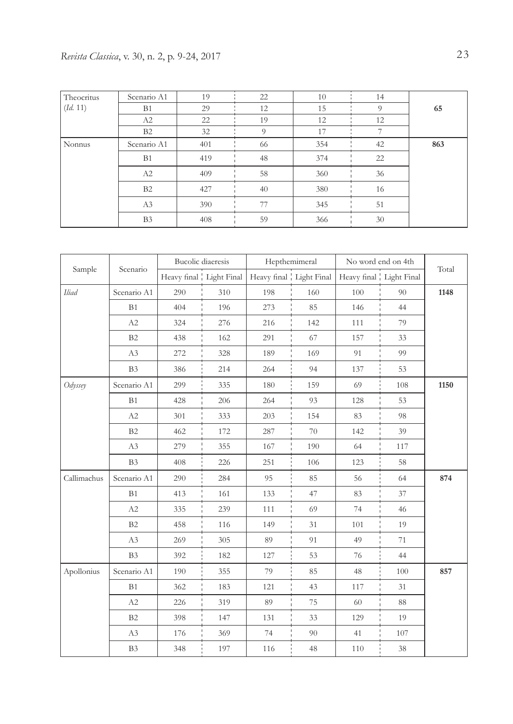| Theocritus | Scenario A1    | 19  | 22       | 10  | 14 |     |
|------------|----------------|-----|----------|-----|----|-----|
| (Id. 11)   | B <sub>1</sub> | 29  | 12       | 15  | 9  | 65  |
|            | A2             | 22  | 19       | 12  | 12 |     |
|            | <b>B2</b>      | 32  | $\Omega$ | 17  |    |     |
| Nonnus     | Scenario A1    | 401 | 66       | 354 | 42 | 863 |
|            | B <sub>1</sub> | 419 | 48       | 374 | 22 |     |
|            | A2             | 409 | 58       | 360 | 36 |     |
|            | B <sub>2</sub> | 427 | 40       | 380 | 16 |     |
|            | A3             | 390 | 77       | 345 | 51 |     |
|            | B <sub>3</sub> | 408 | 59       | 366 | 30 |     |

|              |                |     | <b>Bucolic</b> diaeresis  | Hepthemimeral |                           | No word end on 4th      |     |       |
|--------------|----------------|-----|---------------------------|---------------|---------------------------|-------------------------|-----|-------|
| Sample       | Scenario       |     | Heavy final   Light Final |               | Heavy final   Light Final | Heavy final Light Final |     | Total |
| <b>Iliad</b> | Scenario A1    | 290 | 310                       | 198           | 160                       | 100                     | 90  | 1148  |
|              | B1             | 404 | 196                       | 273           | 85                        | 146                     | 44  |       |
|              | A2             | 324 | 276                       | 216           | 142                       | 111                     | 79  |       |
|              | B2             | 438 | 162                       | 291           | 67                        | 157                     | 33  |       |
|              | A3             | 272 | 328                       | 189           | 169                       | 91                      | 99  |       |
|              | B3             | 386 | 214                       | 264           | 94                        | 137                     | 53  |       |
| Odyssey      | Scenario A1    | 299 | 335                       | 180           | 159                       | 69                      | 108 | 1150  |
|              | B1             | 428 | 206                       | 264           | 93                        | 128                     | 53  |       |
|              | A2             | 301 | 333                       | 203           | 154                       | 83                      | 98  |       |
|              | B2             | 462 | 172                       | 287           | 70                        | 142                     | 39  |       |
|              | A3             | 279 | 355                       | 167           | 190                       | 64                      | 117 |       |
|              | B <sub>3</sub> | 408 | 226                       | 251           | 106                       | 123                     | 58  |       |
| Callimachus  | Scenario A1    | 290 | 284                       | 95            | 85                        | 56                      | 64  | 874   |
|              | B1             | 413 | 161                       | 133           | 47                        | 83                      | 37  |       |
|              | A2             | 335 | 239                       | 111           | 69                        | 74                      | 46  |       |
|              | B2             | 458 | 116                       | 149           | 31                        | 101                     | 19  |       |
|              | A3             | 269 | 305                       | 89            | 91                        | 49                      | 71  |       |
|              | B <sub>3</sub> | 392 | 182                       | 127           | 53                        | 76                      | 44  |       |
| Apollonius   | Scenario A1    | 190 | 355                       | 79            | 85                        | 48                      | 100 | 857   |
|              | B1             | 362 | 183                       | 121           | 43                        | 117                     | 31  |       |
|              | A2             | 226 | 319                       | 89            | 75                        | 60                      | 88  |       |
|              | B2             | 398 | 147                       | 131           | 33                        | 129                     | 19  |       |
|              | A3             | 176 | 369                       | 74            | 90                        | 41                      | 107 |       |
|              | B <sub>3</sub> | 348 | 197                       | 116           | 48                        | 110                     | 38  |       |